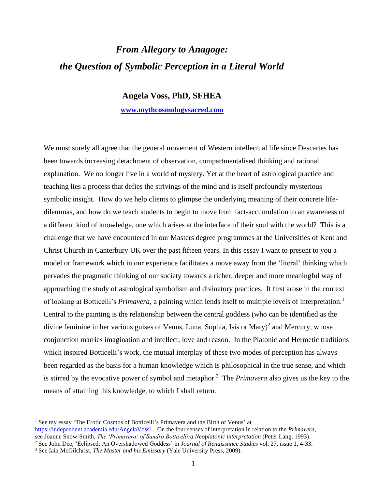## *From Allegory to Anagoge: the Question of Symbolic Perception in a Literal World*

## **Angela Voss, PhD, SFHEA**

## **[www.mythcosmologysacred.com](http://www.mythcosmologysacred.com/)**

We must surely all agree that the general movement of Western intellectual life since Descartes has been towards increasing detachment of observation, compartmentalised thinking and rational explanation. We no longer live in a world of mystery. Yet at the heart of astrological practice and teaching lies a process that defies the strivings of the mind and is itself profoundly mysterious symbolic insight. How do we help clients to glimpse the underlying meaning of their concrete lifedilemmas, and how do we teach students to begin to move from fact-accumulation to an awareness of a different kind of knowledge, one which arises at the interface of their soul with the world? This is a challenge that we have encountered in our Masters degree programmes at the Universities of Kent and Christ Church in Canterbury UK over the past fifteen years. In this essay I want to present to you a model or framework which in our experience facilitates a move away from the 'literal' thinking which pervades the pragmatic thinking of our society towards a richer, deeper and more meaningful way of approaching the study of astrological symbolism and divinatory practices. It first arose in the context of looking at Botticelli's *Primavera*, a painting which lends itself to multiple levels of interpretation.<sup>1</sup> Central to the painting is the relationship between the central goddess (who can be identified as the divine feminine in her various guises of Venus, Luna, Sophia, Isis or Mary) 2 and Mercury, whose conjunction marries imagination and intellect, love and reason. In the Platonic and Hermetic traditions which inspired Botticelli's work, the mutual interplay of these two modes of perception has always been regarded as the basis for a human knowledge which is philosophical in the true sense, and which is stirred by the evocative power of symbol and metaphor.<sup>3</sup> The *Primavera* also gives us the key to the means of attaining this knowledge, to which I shall return.

<sup>&</sup>lt;sup>1</sup> See my essay 'The Erotic Cosmos of Botticelli's Primavera and the Birth of Venus' at [https://independent.academia.edu/AngelaVoss1.](https://independent.academia.edu/AngelaVoss1) On the four senses of interpretation in relation to the *Primavera*, see Joanne Snow-Smith, *The 'Primavera' of Sandro Botticelli: a Neoplatonic interpretation* (Peter Lang, 1993).

<sup>2</sup> See John Dee, 'Eclipsed: An Overshadowed Goddess' in *Journal of Renaissance Studies* vol. 27, issue 1, 4-33.

<sup>3</sup> See Iain McGilchrist, *The Master and his Emissary* (Yale University Press, 2009).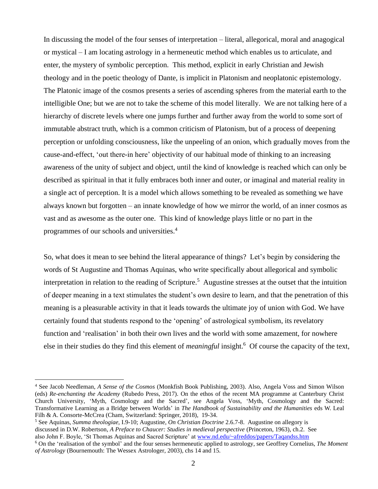In discussing the model of the four senses of interpretation – literal, allegorical, moral and anagogical or mystical – I am locating astrology in a hermeneutic method which enables us to articulate, and enter, the mystery of symbolic perception. This method, explicit in early Christian and Jewish theology and in the poetic theology of Dante, is implicit in Platonism and neoplatonic epistemology. The Platonic image of the cosmos presents a series of ascending spheres from the material earth to the intelligible One; but we are not to take the scheme of this model literally. We are not talking here of a hierarchy of discrete levels where one jumps further and further away from the world to some sort of immutable abstract truth, which is a common criticism of Platonism, but of a process of deepening perception or unfolding consciousness, like the unpeeling of an onion, which gradually moves from the cause-and-effect, 'out there-in here' objectivity of our habitual mode of thinking to an increasing awareness of the unity of subject and object, until the kind of knowledge is reached which can only be described as spiritual in that it fully embraces both inner and outer, or imaginal and material reality in a single act of perception. It is a model which allows something to be revealed as something we have always known but forgotten – an innate knowledge of how we mirror the world, of an inner cosmos as vast and as awesome as the outer one. This kind of knowledge plays little or no part in the programmes of our schools and universities.<sup>4</sup>

So, what does it mean to see behind the literal appearance of things? Let's begin by considering the words of St Augustine and Thomas Aquinas, who write specifically about allegorical and symbolic interpretation in relation to the reading of Scripture.<sup>5</sup> Augustine stresses at the outset that the intuition of deeper meaning in a text stimulates the student's own desire to learn, and that the penetration of this meaning is a pleasurable activity in that it leads towards the ultimate joy of union with God. We have certainly found that students respond to the 'opening' of astrological symbolism, its revelatory function and 'realisation' in both their own lives and the world with some amazement, for nowhere else in their studies do they find this element of *meaningful* insight.<sup>6</sup> Of course the capacity of the text,

<sup>4</sup> See Jacob Needleman, *A Sense of the Cosmos* (Monkfish Book Publishing, 2003). Also, Angela Voss and Simon Wilson (eds) *Re-enchanting the Academy* (Rubedo Press, 2017). On the ethos of the recent MA programme at Canterbury Christ Church University, 'Myth, Cosmology and the Sacred', see Angela Voss, 'Myth, Cosmology and the Sacred: Transformative Learning as a Bridge between Worlds' in *The Handbook of Sustainability and the Humanities* eds W. Leal Filh & A. Consorte-McCrea (Cham, Switzerland: Springer, 2018), 19-34.

<sup>5</sup> See Aquinas, *Summa theologiae,* I.9-10; Augustine, *On Christian Doctrine* 2.6.7-8. Augustine on allegory is discussed in D.W. Robertson, *A Preface to Chaucer: Studies in medieval perspective* (Princeton, 1963), ch.2. See also John F. Boyle, 'St Thomas Aquinas and Sacred Scripture' a[t www.nd.edu/~afreddos/papers/Taqandss.htm](http://www.nd.edu/~afreddos/papers/Taqandss.htm)

<sup>6</sup> On the 'realisation of the symbol' and the four senses hermeneutic applied to astrology, see Geoffrey Cornelius, *The Moment of Astrology* (Bournemouth: The Wessex Astrologer, 2003), chs 14 and 15.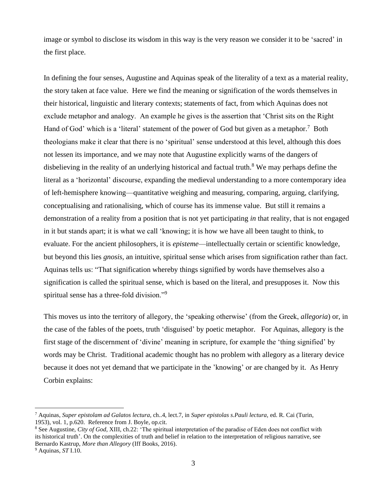image or symbol to disclose its wisdom in this way is the very reason we consider it to be 'sacred' in the first place.

In defining the four senses, Augustine and Aquinas speak of the literality of a text as a material reality, the story taken at face value. Here we find the meaning or signification of the words themselves in their historical, linguistic and literary contexts; statements of fact, from which Aquinas does not exclude metaphor and analogy. An example he gives is the assertion that 'Christ sits on the Right Hand of God' which is a 'literal' statement of the power of God but given as a metaphor.<sup>7</sup> Both theologians make it clear that there is no 'spiritual' sense understood at this level, although this does not lessen its importance, and we may note that Augustine explicitly warns of the dangers of disbelieving in the reality of an underlying historical and factual truth.<sup>8</sup> We may perhaps define the literal as a 'horizontal' discourse, expanding the medieval understanding to a more contemporary idea of left-hemisphere knowing—quantitative weighing and measuring, comparing, arguing, clarifying, conceptualising and rationalising, which of course has its immense value. But still it remains a demonstration of a reality from a position that is not yet participating *in* that reality, that is not engaged in it but stands apart; it is what we call 'knowing; it is how we have all been taught to think, to evaluate. For the ancient philosophers, it is *episteme*—intellectually certain or scientific knowledge, but beyond this lies *gnosis*, an intuitive, spiritual sense which arises from signification rather than fact. Aquinas tells us: "That signification whereby things signified by words have themselves also a signification is called the spiritual sense, which is based on the literal, and presupposes it. Now this spiritual sense has a three-fold division."<sup>9</sup>

This moves us into the territory of allegory, the 'speaking otherwise' (from the Greek, *allegoria*) or, in the case of the fables of the poets, truth 'disguised' by poetic metaphor. For Aquinas, allegory is the first stage of the discernment of 'divine' meaning in scripture, for example the 'thing signified' by words may be Christ. Traditional academic thought has no problem with allegory as a literary device because it does not yet demand that we participate in the 'knowing' or are changed by it. As Henry Corbin explains:

<sup>7</sup> Aquinas, *Super epistolam ad Galatos lectura,* ch..4, lect.7, in *Super epistolas s.Pauli lectura,* ed. R. Cai (Turin, 1953), vol. 1, p.620. Reference from J. Boyle, op.cit.

<sup>8</sup> See Augustine, *City of God*, XIII, ch.22: 'The spiritual interpretation of the paradise of Eden does not conflict with its historical truth'. On the complexities of truth and belief in relation to the interpretation of religious narrative, see Bernardo Kastrup, *More than Allegory* (Iff Books, 2016).

<sup>9</sup> Aquinas, *ST* I.10.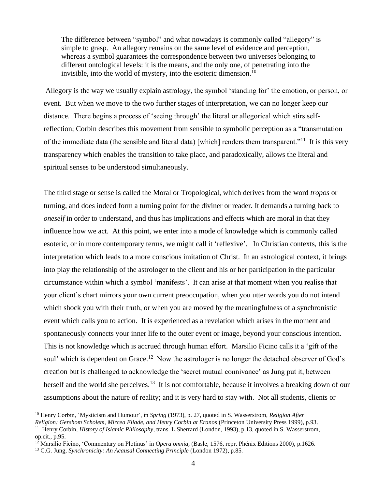The difference between "symbol" and what nowadays is commonly called "allegory" is simple to grasp. An allegory remains on the same level of evidence and perception, whereas a symbol guarantees the correspondence between two universes belonging to different ontological levels: it is the means, and the only one, of penetrating into the invisible, into the world of mystery, into the esoteric dimension.<sup>10</sup>

Allegory is the way we usually explain astrology, the symbol 'standing for' the emotion, or person, or event. But when we move to the two further stages of interpretation, we can no longer keep our distance. There begins a process of 'seeing through' the literal or allegorical which stirs selfreflection; Corbin describes this movement from sensible to symbolic perception as a "transmutation of the immediate data (the sensible and literal data) [which] renders them transparent."<sup>11</sup> It is this very transparency which enables the transition to take place, and paradoxically, allows the literal and spiritual senses to be understood simultaneously.

The third stage or sense is called the Moral or Tropological, which derives from the word *tropos* or turning, and does indeed form a turning point for the diviner or reader. It demands a turning back to *oneself* in order to understand, and thus has implications and effects which are moral in that they influence how we act. At this point, we enter into a mode of knowledge which is commonly called esoteric, or in more contemporary terms, we might call it 'reflexive'. In Christian contexts, this is the interpretation which leads to a more conscious imitation of Christ. In an astrological context, it brings into play the relationship of the astrologer to the client and his or her participation in the particular circumstance within which a symbol 'manifests'. It can arise at that moment when you realise that your client's chart mirrors your own current preoccupation, when you utter words you do not intend which shock you with their truth, or when you are moved by the meaningfulness of a synchronistic event which calls you to action. It is experienced as a revelation which arises in the moment and spontaneously connects your inner life to the outer event or image, beyond your conscious intention. This is not knowledge which is accrued through human effort. Marsilio Ficino calls it a 'gift of the soul' which is dependent on Grace.<sup>12</sup> Now the astrologer is no longer the detached observer of God's creation but is challenged to acknowledge the 'secret mutual connivance' as Jung put it, between herself and the world she perceives.<sup>13</sup> It is not comfortable, because it involves a breaking down of our assumptions about the nature of reality; and it is very hard to stay with. Not all students, clients or

<sup>10</sup> Henry Corbin, 'Mysticism and Humour', in *Spring* (1973), p. 27, quoted in S. Wasserstrom, *Religion After* 

*Religion: Gershom Scholem, Mircea Eliade, and Henry Corbin at Eranos* (Princeton University Press 1999), p.93.

<sup>11</sup> Henry Corbin, *History of Islamic Philosophy*, trans. L.Sherrard (London, 1993), p.13, quoted in S. Wasserstrom, op.cit., p.95.

<sup>&</sup>lt;sup>12</sup> Marsilio Ficino, 'Commentary on Plotinus' in *Opera omnia*, (Basle, 1576, repr. Phénix Editions 2000), p.1626.

<sup>13</sup> C.G. Jung, *Synchronicity: An Acausal Connecting Principle* (London 1972), p.85.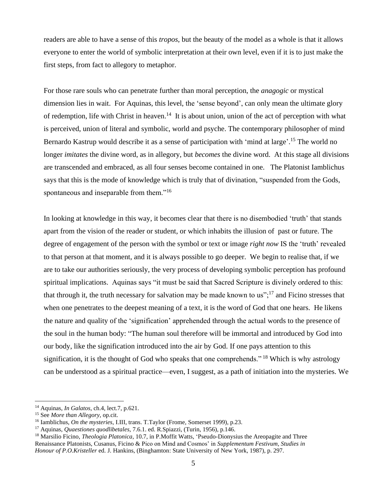readers are able to have a sense of this *tropos*, but the beauty of the model as a whole is that it allows everyone to enter the world of symbolic interpretation at their own level, even if it is to just make the first steps, from fact to allegory to metaphor.

For those rare souls who can penetrate further than moral perception, the *anagogic* or mystical dimension lies in wait. For Aquinas, this level, the 'sense beyond', can only mean the ultimate glory of redemption, life with Christ in heaven.<sup>14</sup> It is about union, union of the act of perception with what is perceived, union of literal and symbolic, world and psyche. The contemporary philosopher of mind Bernardo Kastrup would describe it as a sense of participation with 'mind at large'.<sup>15</sup> The world no longer *imitates* the divine word, as in allegory, but *becomes* the divine word. At this stage all divisions are transcended and embraced, as all four senses become contained in one. The Platonist Iamblichus says that this is the mode of knowledge which is truly that of divination, "suspended from the Gods, spontaneous and inseparable from them."<sup>16</sup>

In looking at knowledge in this way, it becomes clear that there is no disembodied 'truth' that stands apart from the vision of the reader or student, or which inhabits the illusion of past or future. The degree of engagement of the person with the symbol or text or image *right now* IS the 'truth' revealed to that person at that moment, and it is always possible to go deeper. We begin to realise that, if we are to take our authorities seriously, the very process of developing symbolic perception has profound spiritual implications. Aquinas says "it must be said that Sacred Scripture is divinely ordered to this: that through it, the truth necessary for salvation may be made known to us";<sup>17</sup> and Ficino stresses that when one penetrates to the deepest meaning of a text, it is the word of God that one hears. He likens the nature and quality of the 'signification' apprehended through the actual words to the presence of the soul in the human body: "The human soul therefore will be immortal and introduced by God into our body, like the signification introduced into the air by God. If one pays attention to this signification, it is the thought of God who speaks that one comprehends."<sup>18</sup> Which is why astrology can be understood as a spiritual practice—even, I suggest, as a path of initiation into the mysteries. We

<sup>14</sup> Aquinas, *In Galatos*, ch.4, lect.7, p.621.

<sup>15</sup> See *More than Allegory,* op.cit.

<sup>16</sup> Iamblichus, *On the mysteries*, I.III, trans. T.Taylor (Frome, Somerset 1999), p.23.

<sup>17</sup> Aquinas, *Quaestiones quodlibetales,* 7.6.1. ed. R.Spiazzi, (Turin, 1956), p.146.

<sup>18</sup> Marsilio Ficino, *Theologia Platonica*, 10.7, in P.Moffit Watts, 'Pseudo-Dionysius the Areopagite and Three Renaissance Platonists, Cusanus, Ficino & Pico on Mind and Cosmos' in *Supplementum Festivum, Studies in Honour of P.O.Kristeller* ed. J. Hankins, (Binghamton: State University of New York, 1987), p. 297.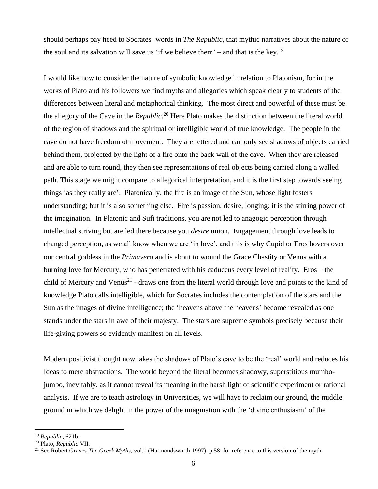should perhaps pay heed to Socrates' words in *The Republic,* that mythic narratives about the nature of the soul and its salvation will save us 'if we believe them' – and that is the key.<sup>19</sup>

I would like now to consider the nature of symbolic knowledge in relation to Platonism, for in the works of Plato and his followers we find myths and allegories which speak clearly to students of the differences between literal and metaphorical thinking. The most direct and powerful of these must be the allegory of the Cave in the *Republic*. <sup>20</sup> Here Plato makes the distinction between the literal world of the region of shadows and the spiritual or intelligible world of true knowledge. The people in the cave do not have freedom of movement. They are fettered and can only see shadows of objects carried behind them, projected by the light of a fire onto the back wall of the cave. When they are released and are able to turn round, they then see representations of real objects being carried along a walled path. This stage we might compare to allegorical interpretation, and it is the first step towards seeing things 'as they really are'. Platonically, the fire is an image of the Sun, whose light fosters understanding; but it is also something else. Fire is passion, desire, longing; it is the stirring power of the imagination. In Platonic and Sufi traditions, you are not led to anagogic perception through intellectual striving but are led there because you *desire* union. Engagement through love leads to changed perception, as we all know when we are 'in love', and this is why Cupid or Eros hovers over our central goddess in the *Primavera* and is about to wound the Grace Chastity or Venus with a burning love for Mercury, who has penetrated with his caduceus every level of reality. Eros – the child of Mercury and Venus<sup>21</sup> - draws one from the literal world through love and points to the kind of knowledge Plato calls intelligible, which for Socrates includes the contemplation of the stars and the Sun as the images of divine intelligence; the 'heavens above the heavens' become revealed as one stands under the stars in awe of their majesty. The stars are supreme symbols precisely because their life-giving powers so evidently manifest on all levels.

Modern positivist thought now takes the shadows of Plato's cave to be the 'real' world and reduces his Ideas to mere abstractions. The world beyond the literal becomes shadowy, superstitious mumbojumbo, inevitably, as it cannot reveal its meaning in the harsh light of scientific experiment or rational analysis. If we are to teach astrology in Universities, we will have to reclaim our ground, the middle ground in which we delight in the power of the imagination with the 'divine enthusiasm' of the

<sup>19</sup> *Republic,* 621b.

<sup>20</sup> Plato, *Republic* VII.

<sup>21</sup> See Robert Graves *The Greek Myths*, vol.1 (Harmondsworth 1997), p.58, for reference to this version of the myth.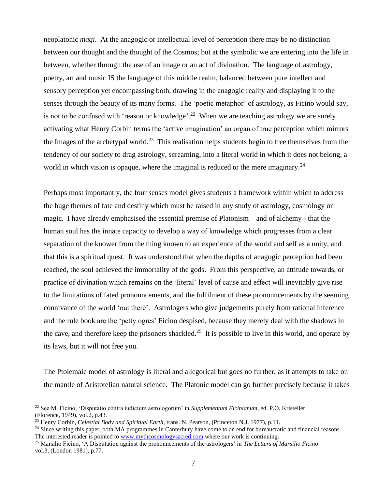neoplatonic *magi*. At the anagogic or intellectual level of perception there may be no distinction between our thought and the thought of the Cosmos; but at the symbolic we are entering into the life in between, whether through the use of an image or an act of divination. The language of astrology, poetry, art and music IS the language of this middle realm, balanced between pure intellect and sensory perception yet encompassing both, drawing in the anagogic reality and displaying it to the senses through the beauty of its many forms. The 'poetic metaphor' of astrology, as Ficino would say, is not to be confused with 'reason or knowledge'.<sup>22</sup> When we are teaching astrology we are surely activating what Henry Corbin terms the 'active imagination' an organ of true perception which mirrors the Images of the archetypal world.<sup>23</sup> This realisation helps students begin to free themselves from the tendency of our society to drag astrology, screaming, into a literal world in which it does not belong, a world in which vision is opaque, where the imaginal is reduced to the mere imaginary.<sup>24</sup>

Perhaps most importantly, the four senses model gives students a framework within which to address the huge themes of fate and destiny which must be raised in any study of astrology, cosmology or magic. I have already emphasised the essential premise of Platonism – and of alchemy - that the human soul has the innate capacity to develop a way of knowledge which progresses from a clear separation of the knower from the thing known to an experience of the world and self as a unity, and that this is a spiritual quest. It was understood that when the depths of anagogic perception had been reached, the soul achieved the immortality of the gods. From this perspective, an attitude towards, or practice of divination which remains on the 'literal' level of cause and effect will inevitably give rise to the limitations of fated pronouncements, and the fulfilment of these pronouncements by the seeming connivance of the world 'out there'. Astrologers who give judgements purely from rational inference and the rule book are the 'petty ogres' Ficino despised, because they merely deal with the shadows in the cave, and therefore keep the prisoners shackled.<sup>25</sup> It is possible to live in this world, and operate by its laws, but it will not free you.

The Ptolemaic model of astrology is literal and allegorical but goes no further, as it attempts to take on the mantle of Aristotelian natural science. The Platonic model can go further precisely because it takes

<sup>22</sup> See M. Ficino, 'Disputatio contra iudicium astrologorum' in *Supplementum Ficinianum*, ed. P.O. Kristeller (Florence, 1949), vol.2, p.43.

<sup>23</sup> Henry Corbin, *Celestial Body and Spiritual Earth*, trans. N. Pearson, (Princeton N.J. 1977), p.11.

<sup>&</sup>lt;sup>24</sup> Since writing this paper, both MA programmes in Canterbury have come to an end for bureaucratic and financial reasons. The interested reader is pointed to [www.mythcosmologysacred.com](http://www.mythcosmologysacred.com/) where our work is continuing.

<sup>25</sup> Marsilio Ficino, 'A Disputation against the pronouncements of the astrologers' in *The Letters of Marsilio Ficino* vol.3, (London 1981), p.77.